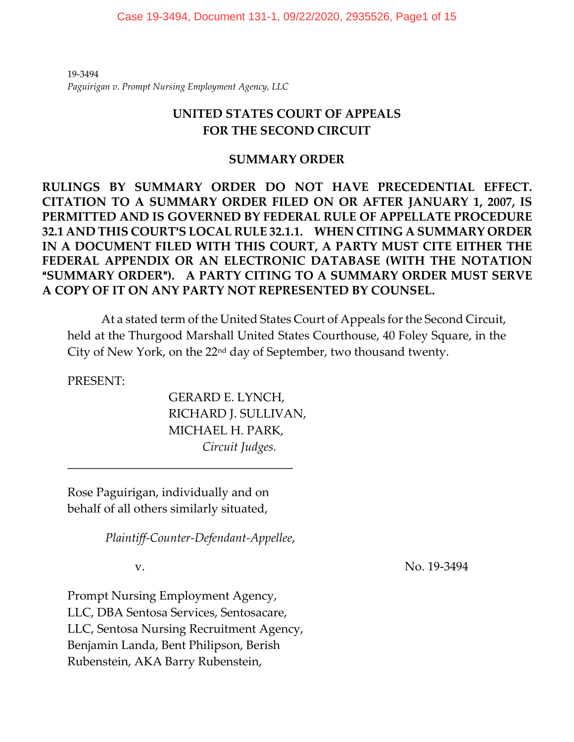19-3494 *Paguirigan v. Prompt Nursing Employment Agency, LLC*

# **UNITED STATES COURT OF APPEALS FOR THE SECOND CIRCUIT**

# **SUMMARY ORDER**

**RULINGS BY SUMMARY ORDER DO NOT HAVE PRECEDENTIAL EFFECT. CITATION TO A SUMMARY ORDER FILED ON OR AFTER JANUARY 1, 2007, IS PERMITTED AND IS GOVERNED BY FEDERAL RULE OF APPELLATE PROCEDURE 32.1 AND THIS COURT**=**S LOCAL RULE 32.1.1. WHEN CITING A SUMMARY ORDER IN A DOCUMENT FILED WITH THIS COURT, A PARTY MUST CITE EITHER THE FEDERAL APPENDIX OR AN ELECTRONIC DATABASE (WITH THE NOTATION**  A**SUMMARY ORDER**@**). A PARTY CITING TO A SUMMARY ORDER MUST SERVE A COPY OF IT ON ANY PARTY NOT REPRESENTED BY COUNSEL.** 

At a stated term of the United States Court of Appeals for the Second Circuit, held at the Thurgood Marshall United States Courthouse, 40 Foley Square, in the City of New York, on the 22nd day of September, two thousand twenty.

PRESENT:

GERARD E. LYNCH, RICHARD J. SULLIVAN, MICHAEL H. PARK, *Circuit Judges.*

Rose Paguirigan, individually and on behalf of all others similarly situated,

\_\_\_\_\_\_\_\_\_\_\_\_\_\_\_\_\_\_\_\_\_\_\_\_\_\_\_\_\_\_\_\_\_\_\_\_\_

*Plaintiff-Counter-Defendant-Appellee*,

v. No. 19-3494

Prompt Nursing Employment Agency, LLC, DBA Sentosa Services, Sentosacare, LLC, Sentosa Nursing Recruitment Agency, Benjamin Landa, Bent Philipson, Berish Rubenstein, AKA Barry Rubenstein,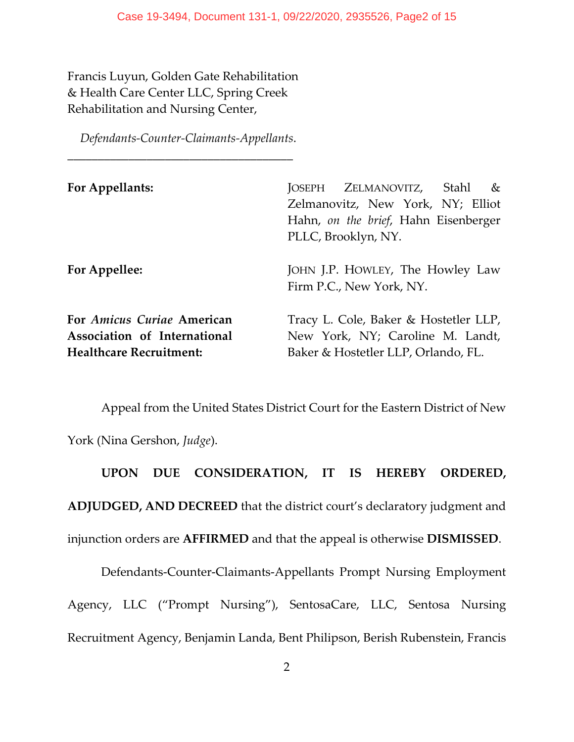Francis Luyun, Golden Gate Rehabilitation & Health Care Center LLC, Spring Creek Rehabilitation and Nursing Center,

*Defendants-Counter-Claimants-Appellants*.

\_\_\_\_\_\_\_\_\_\_\_\_\_\_\_\_\_\_\_\_\_\_\_\_\_\_\_\_\_\_\_\_\_\_\_\_\_

| For Appellants:                                                                              | JOSEPH ZELMANOVITZ, Stahl<br>$\&$<br>Zelmanovitz, New York, NY; Elliot<br>Hahn, on the brief, Hahn Eisenberger<br>PLLC, Brooklyn, NY. |
|----------------------------------------------------------------------------------------------|---------------------------------------------------------------------------------------------------------------------------------------|
| For Appellee:                                                                                | JOHN J.P. HOWLEY, The Howley Law<br>Firm P.C., New York, NY.                                                                          |
| For Amicus Curiae American<br>Association of International<br><b>Healthcare Recruitment:</b> | Tracy L. Cole, Baker & Hostetler LLP,<br>New York, NY; Caroline M. Landt,<br>Baker & Hostetler LLP, Orlando, FL.                      |

Appeal from the United States District Court for the Eastern District of New York (Nina Gershon, *Judge*).

**UPON DUE CONSIDERATION, IT IS HEREBY ORDERED, ADJUDGED, AND DECREED** that the district court's declaratory judgment and injunction orders are **AFFIRMED** and that the appeal is otherwise **DISMISSED**.

Defendants-Counter-Claimants-Appellants Prompt Nursing Employment Agency, LLC ("Prompt Nursing"), SentosaCare, LLC, Sentosa Nursing Recruitment Agency, Benjamin Landa, Bent Philipson, Berish Rubenstein, Francis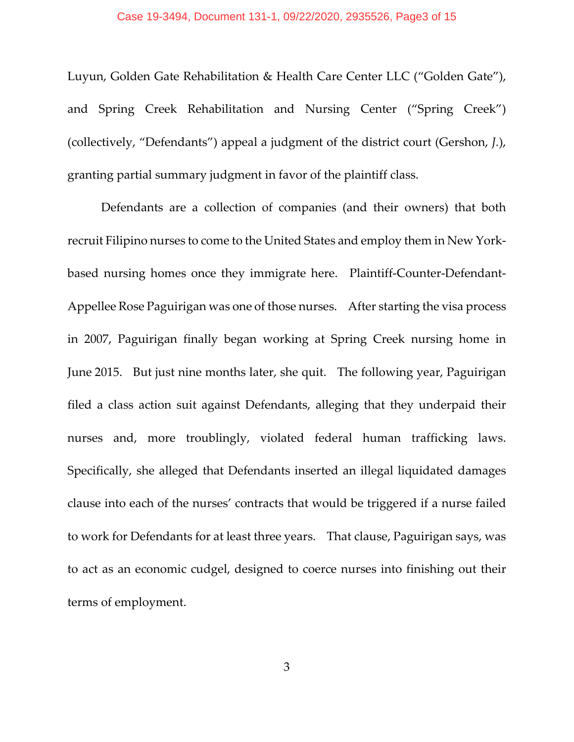Luyun, Golden Gate Rehabilitation & Health Care Center LLC ("Golden Gate"), and Spring Creek Rehabilitation and Nursing Center ("Spring Creek") (collectively, "Defendants") appeal a judgment of the district court (Gershon, *J.*), granting partial summary judgment in favor of the plaintiff class.

Defendants are a collection of companies (and their owners) that both recruit Filipino nurses to come to the United States and employ them in New Yorkbased nursing homes once they immigrate here. Plaintiff-Counter-Defendant-Appellee Rose Paguirigan was one of those nurses. After starting the visa process in 2007, Paguirigan finally began working at Spring Creek nursing home in June 2015. But just nine months later, she quit. The following year, Paguirigan filed a class action suit against Defendants, alleging that they underpaid their nurses and, more troublingly, violated federal human trafficking laws. Specifically, she alleged that Defendants inserted an illegal liquidated damages clause into each of the nurses' contracts that would be triggered if a nurse failed to work for Defendants for at least three years. That clause, Paguirigan says, was to act as an economic cudgel, designed to coerce nurses into finishing out their terms of employment.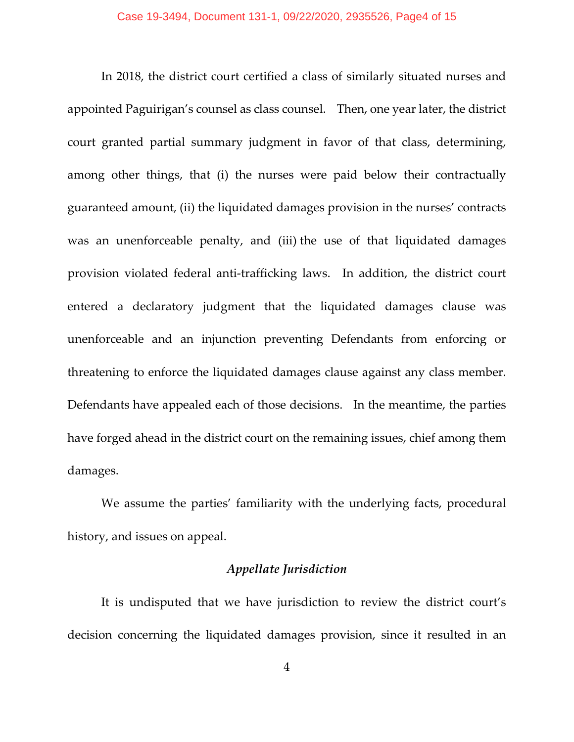In 2018, the district court certified a class of similarly situated nurses and appointed Paguirigan's counsel as class counsel. Then, one year later, the district court granted partial summary judgment in favor of that class, determining, among other things, that (i) the nurses were paid below their contractually guaranteed amount, (ii) the liquidated damages provision in the nurses' contracts was an unenforceable penalty, and (iii) the use of that liquidated damages provision violated federal anti-trafficking laws. In addition, the district court entered a declaratory judgment that the liquidated damages clause was unenforceable and an injunction preventing Defendants from enforcing or threatening to enforce the liquidated damages clause against any class member. Defendants have appealed each of those decisions. In the meantime, the parties have forged ahead in the district court on the remaining issues, chief among them damages.

We assume the parties' familiarity with the underlying facts, procedural history, and issues on appeal.

### *Appellate Jurisdiction*

It is undisputed that we have jurisdiction to review the district court's decision concerning the liquidated damages provision, since it resulted in an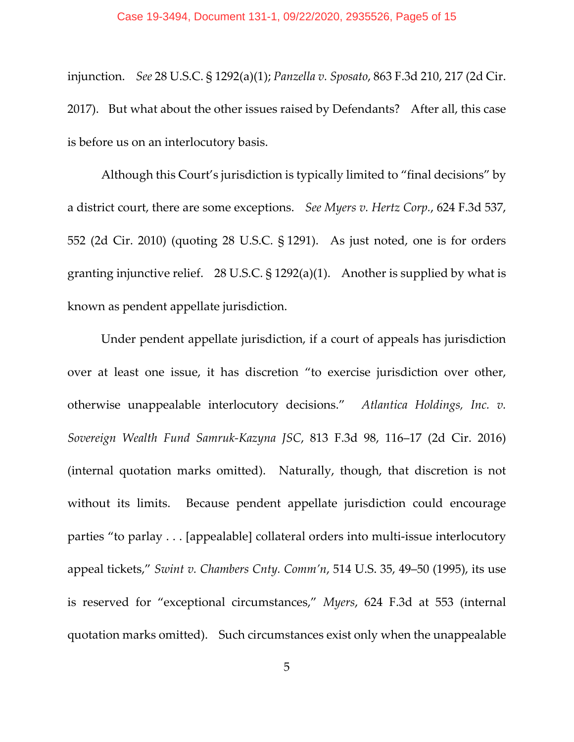injunction. *See* 28 U.S.C. § 1292(a)(1); *Panzella v. Sposato*, 863 F.3d 210, 217 (2d Cir. 2017). But what about the other issues raised by Defendants? After all, this case is before us on an interlocutory basis.

Although this Court's jurisdiction is typically limited to "final decisions" by a district court, there are some exceptions. *See Myers v. Hertz Corp.*, 624 F.3d 537, 552 (2d Cir. 2010) (quoting 28 U.S.C. § 1291). As just noted, one is for orders granting injunctive relief. 28 U.S.C. § 1292(a)(1). Another is supplied by what is known as pendent appellate jurisdiction.

Under pendent appellate jurisdiction, if a court of appeals has jurisdiction over at least one issue, it has discretion "to exercise jurisdiction over other, otherwise unappealable interlocutory decisions." *Atlantica Holdings, Inc. v. Sovereign Wealth Fund Samruk-Kazyna JSC*, 813 F.3d 98, 116–17 (2d Cir. 2016) (internal quotation marks omitted). Naturally, though, that discretion is not without its limits. Because pendent appellate jurisdiction could encourage parties "to parlay . . . [appealable] collateral orders into multi-issue interlocutory appeal tickets," *Swint v. Chambers Cnty. Comm'n*, 514 U.S. 35, 49–50 (1995), its use is reserved for "exceptional circumstances," *Myers*, 624 F.3d at 553 (internal quotation marks omitted). Such circumstances exist only when the unappealable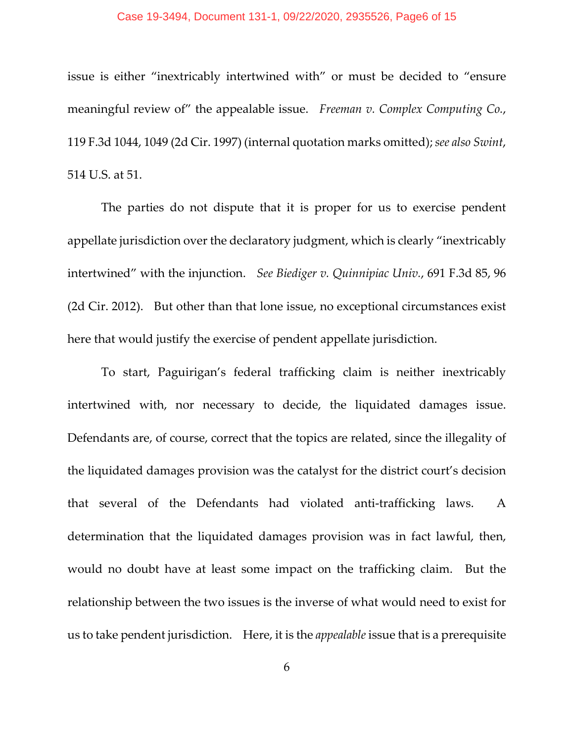#### Case 19-3494, Document 131-1, 09/22/2020, 2935526, Page6 of 15

issue is either "inextricably intertwined with" or must be decided to "ensure meaningful review of" the appealable issue. *Freeman v. Complex Computing Co.*, 119 F.3d 1044, 1049 (2d Cir. 1997) (internal quotation marks omitted); *see also Swint*, 514 U.S. at 51.

The parties do not dispute that it is proper for us to exercise pendent appellate jurisdiction over the declaratory judgment, which is clearly "inextricably intertwined" with the injunction. *See Biediger v. Quinnipiac Univ.*, 691 F.3d 85, 96 (2d Cir. 2012). But other than that lone issue, no exceptional circumstances exist here that would justify the exercise of pendent appellate jurisdiction.

To start, Paguirigan's federal trafficking claim is neither inextricably intertwined with, nor necessary to decide, the liquidated damages issue. Defendants are, of course, correct that the topics are related, since the illegality of the liquidated damages provision was the catalyst for the district court's decision that several of the Defendants had violated anti-trafficking laws. A determination that the liquidated damages provision was in fact lawful, then, would no doubt have at least some impact on the trafficking claim. But the relationship between the two issues is the inverse of what would need to exist for us to take pendent jurisdiction. Here, it is the *appealable* issue that is a prerequisite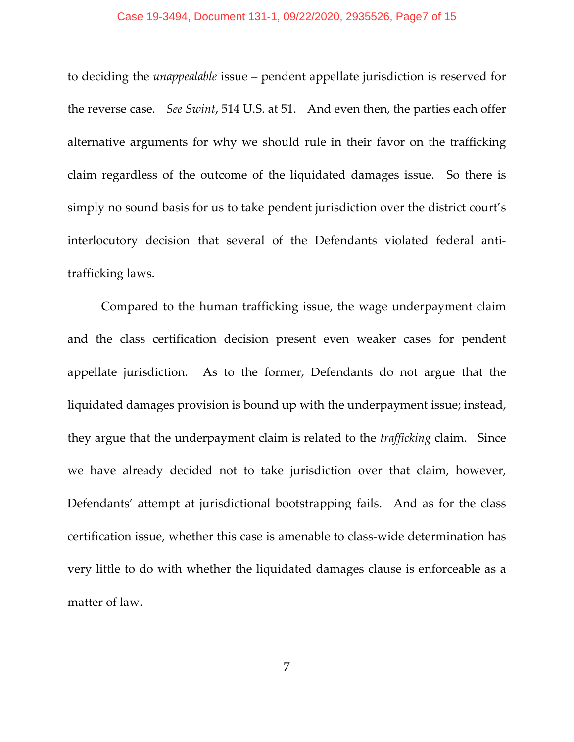#### Case 19-3494, Document 131-1, 09/22/2020, 2935526, Page7 of 15

to deciding the *unappealable* issue – pendent appellate jurisdiction is reserved for the reverse case. *See Swint*, 514 U.S. at 51. And even then, the parties each offer alternative arguments for why we should rule in their favor on the trafficking claim regardless of the outcome of the liquidated damages issue. So there is simply no sound basis for us to take pendent jurisdiction over the district court's interlocutory decision that several of the Defendants violated federal antitrafficking laws.

Compared to the human trafficking issue, the wage underpayment claim and the class certification decision present even weaker cases for pendent appellate jurisdiction. As to the former, Defendants do not argue that the liquidated damages provision is bound up with the underpayment issue; instead, they argue that the underpayment claim is related to the *trafficking* claim. Since we have already decided not to take jurisdiction over that claim, however, Defendants' attempt at jurisdictional bootstrapping fails. And as for the class certification issue, whether this case is amenable to class-wide determination has very little to do with whether the liquidated damages clause is enforceable as a matter of law.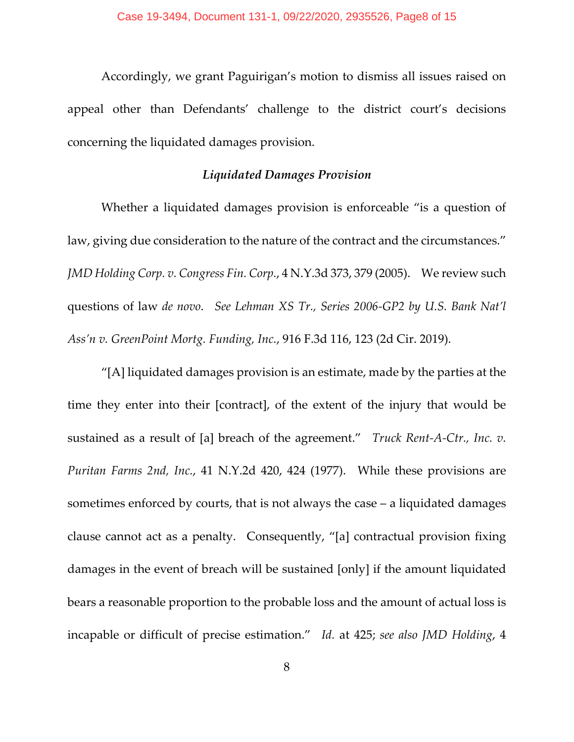Accordingly, we grant Paguirigan's motion to dismiss all issues raised on appeal other than Defendants' challenge to the district court's decisions concerning the liquidated damages provision.

### *Liquidated Damages Provision*

Whether a liquidated damages provision is enforceable "is a question of law, giving due consideration to the nature of the contract and the circumstances." *JMD Holding Corp. v. Congress Fin. Corp.*, 4 N.Y.3d 373, 379 (2005). We review such questions of law *de novo*. *See Lehman XS Tr., Series 2006-GP2 by U.S. Bank Nat'l Ass'n v. GreenPoint Mortg. Funding, Inc.*, 916 F.3d 116, 123 (2d Cir. 2019).

"[A] liquidated damages provision is an estimate, made by the parties at the time they enter into their [contract], of the extent of the injury that would be sustained as a result of [a] breach of the agreement." *Truck Rent-A-Ctr., Inc. v. Puritan Farms 2nd, Inc.*, 41 N.Y.2d 420, 424 (1977). While these provisions are sometimes enforced by courts, that is not always the case – a liquidated damages clause cannot act as a penalty. Consequently, "[a] contractual provision fixing damages in the event of breach will be sustained [only] if the amount liquidated bears a reasonable proportion to the probable loss and the amount of actual loss is incapable or difficult of precise estimation." *Id.* at 425; *see also JMD Holding*, 4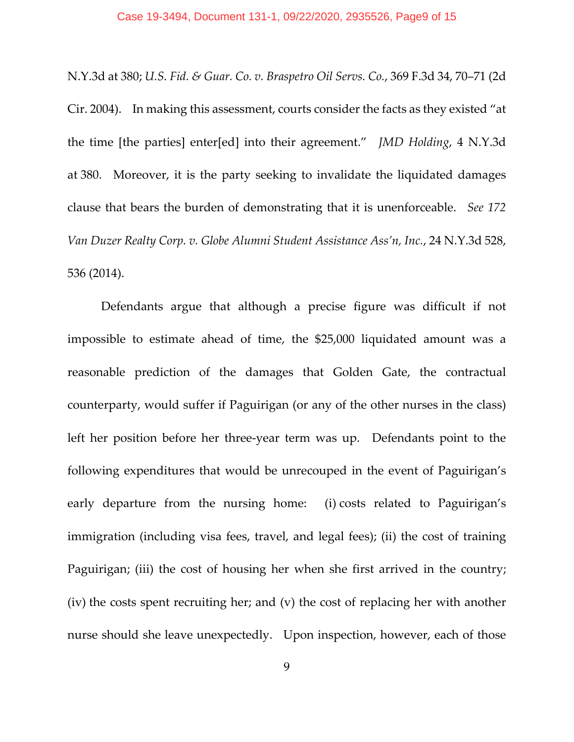N.Y.3d at 380; *U.S. Fid. & Guar. Co. v. Braspetro Oil Servs. Co.*, 369 F.3d 34, 70–71 (2d Cir. 2004). In making this assessment, courts consider the facts as they existed "at the time [the parties] enter[ed] into their agreement." *JMD Holding*, 4 N.Y.3d at 380. Moreover, it is the party seeking to invalidate the liquidated damages clause that bears the burden of demonstrating that it is unenforceable. *See 172 Van Duzer Realty Corp. v. Globe Alumni Student Assistance Ass'n, Inc.*, 24 N.Y.3d 528, 536 (2014).

Defendants argue that although a precise figure was difficult if not impossible to estimate ahead of time, the \$25,000 liquidated amount was a reasonable prediction of the damages that Golden Gate, the contractual counterparty, would suffer if Paguirigan (or any of the other nurses in the class) left her position before her three-year term was up. Defendants point to the following expenditures that would be unrecouped in the event of Paguirigan's early departure from the nursing home: (i) costs related to Paguirigan's immigration (including visa fees, travel, and legal fees); (ii) the cost of training Paguirigan; (iii) the cost of housing her when she first arrived in the country; (iv) the costs spent recruiting her; and (v) the cost of replacing her with another nurse should she leave unexpectedly. Upon inspection, however, each of those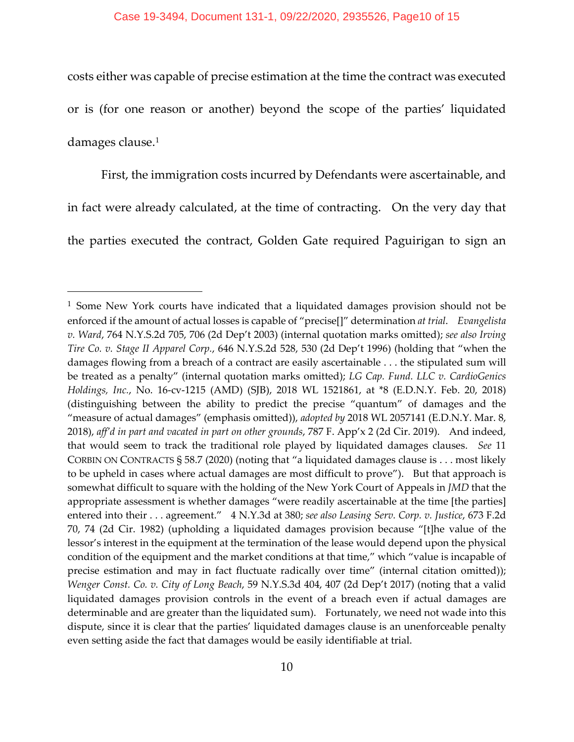costs either was capable of precise estimation at the time the contract was executed or is (for one reason or another) beyond the scope of the parties' liquidated damages clause.[1](#page-9-0)

First, the immigration costs incurred by Defendants were ascertainable, and in fact were already calculated, at the time of contracting. On the very day that the parties executed the contract, Golden Gate required Paguirigan to sign an

<span id="page-9-0"></span><sup>&</sup>lt;sup>1</sup> Some New York courts have indicated that a liquidated damages provision should not be enforced if the amount of actual losses is capable of "precise[]" determination *at trial*. *Evangelista v. Ward*, 764 N.Y.S.2d 705, 706 (2d Dep't 2003) (internal quotation marks omitted); *see also Irving Tire Co. v. Stage II Apparel Corp.*, 646 N.Y.S.2d 528, 530 (2d Dep't 1996) (holding that "when the damages flowing from a breach of a contract are easily ascertainable . . . the stipulated sum will be treated as a penalty" (internal quotation marks omitted); *LG Cap. Fund. LLC v. CardioGenics Holdings, Inc.*, No. 16-cv-1215 (AMD) (SJB), 2018 WL 1521861, at \*8 (E.D.N.Y. Feb. 20, 2018) (distinguishing between the ability to predict the precise "quantum" of damages and the "measure of actual damages" (emphasis omitted)), *adopted by* 2018 WL 2057141 (E.D.N.Y. Mar. 8, 2018), *aff'd in part and vacated in part on other grounds*, 787 F. App'x 2 (2d Cir. 2019). And indeed, that would seem to track the traditional role played by liquidated damages clauses. *See* 11 CORBIN ON CONTRACTS § 58.7 (2020) (noting that "a liquidated damages clause is . . . most likely to be upheld in cases where actual damages are most difficult to prove"). But that approach is somewhat difficult to square with the holding of the New York Court of Appeals in *JMD* that the appropriate assessment is whether damages "were readily ascertainable at the time [the parties] entered into their . . . agreement." 4 N.Y.3d at 380; *see also Leasing Serv. Corp. v. Justice*, 673 F.2d 70, 74 (2d Cir. 1982) (upholding a liquidated damages provision because "[t]he value of the lessor's interest in the equipment at the termination of the lease would depend upon the physical condition of the equipment and the market conditions at that time," which "value is incapable of precise estimation and may in fact fluctuate radically over time" (internal citation omitted)); *Wenger Const. Co. v. City of Long Beach*, 59 N.Y.S.3d 404, 407 (2d Dep't 2017) (noting that a valid liquidated damages provision controls in the event of a breach even if actual damages are determinable and are greater than the liquidated sum). Fortunately, we need not wade into this dispute, since it is clear that the parties' liquidated damages clause is an unenforceable penalty even setting aside the fact that damages would be easily identifiable at trial.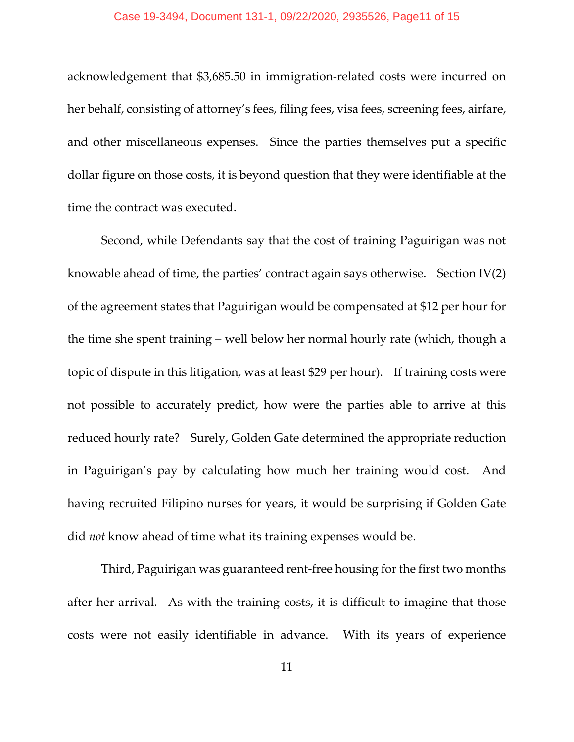acknowledgement that \$3,685.50 in immigration-related costs were incurred on her behalf, consisting of attorney's fees, filing fees, visa fees, screening fees, airfare, and other miscellaneous expenses. Since the parties themselves put a specific dollar figure on those costs, it is beyond question that they were identifiable at the time the contract was executed.

Second, while Defendants say that the cost of training Paguirigan was not knowable ahead of time, the parties' contract again says otherwise. Section IV(2) of the agreement states that Paguirigan would be compensated at \$12 per hour for the time she spent training – well below her normal hourly rate (which, though a topic of dispute in this litigation, was at least \$29 per hour). If training costs were not possible to accurately predict, how were the parties able to arrive at this reduced hourly rate? Surely, Golden Gate determined the appropriate reduction in Paguirigan's pay by calculating how much her training would cost. And having recruited Filipino nurses for years, it would be surprising if Golden Gate did *not* know ahead of time what its training expenses would be.

Third, Paguirigan was guaranteed rent-free housing for the first two months after her arrival. As with the training costs, it is difficult to imagine that those costs were not easily identifiable in advance. With its years of experience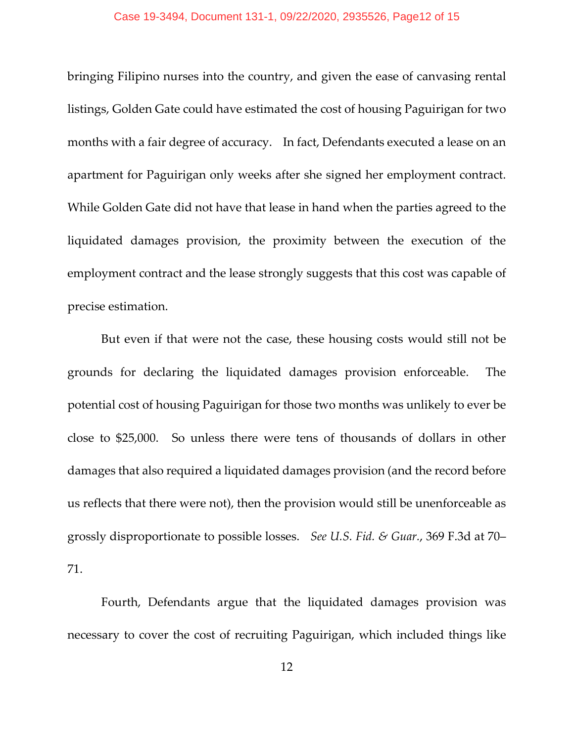#### Case 19-3494, Document 131-1, 09/22/2020, 2935526, Page12 of 15

bringing Filipino nurses into the country, and given the ease of canvasing rental listings, Golden Gate could have estimated the cost of housing Paguirigan for two months with a fair degree of accuracy. In fact, Defendants executed a lease on an apartment for Paguirigan only weeks after she signed her employment contract. While Golden Gate did not have that lease in hand when the parties agreed to the liquidated damages provision, the proximity between the execution of the employment contract and the lease strongly suggests that this cost was capable of precise estimation.

But even if that were not the case, these housing costs would still not be grounds for declaring the liquidated damages provision enforceable. The potential cost of housing Paguirigan for those two months was unlikely to ever be close to \$25,000. So unless there were tens of thousands of dollars in other damages that also required a liquidated damages provision (and the record before us reflects that there were not), then the provision would still be unenforceable as grossly disproportionate to possible losses. *See U.S. Fid. & Guar.*, 369 F.3d at 70– 71.

Fourth, Defendants argue that the liquidated damages provision was necessary to cover the cost of recruiting Paguirigan, which included things like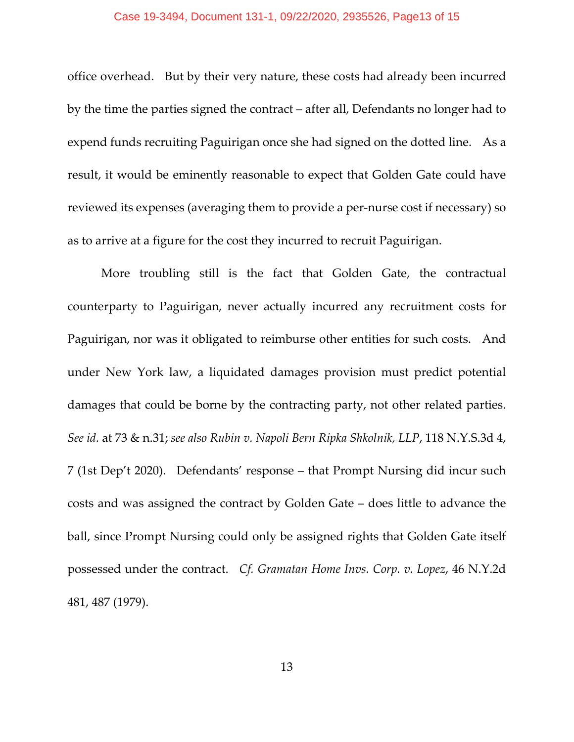#### Case 19-3494, Document 131-1, 09/22/2020, 2935526, Page13 of 15

office overhead. But by their very nature, these costs had already been incurred by the time the parties signed the contract – after all, Defendants no longer had to expend funds recruiting Paguirigan once she had signed on the dotted line. As a result, it would be eminently reasonable to expect that Golden Gate could have reviewed its expenses (averaging them to provide a per-nurse cost if necessary) so as to arrive at a figure for the cost they incurred to recruit Paguirigan.

More troubling still is the fact that Golden Gate, the contractual counterparty to Paguirigan, never actually incurred any recruitment costs for Paguirigan, nor was it obligated to reimburse other entities for such costs. And under New York law, a liquidated damages provision must predict potential damages that could be borne by the contracting party, not other related parties. *See id.* at 73 & n.31; *see also Rubin v. Napoli Bern Ripka Shkolnik, LLP*, 118 N.Y.S.3d 4, 7 (1st Dep't 2020). Defendants' response – that Prompt Nursing did incur such costs and was assigned the contract by Golden Gate – does little to advance the ball, since Prompt Nursing could only be assigned rights that Golden Gate itself possessed under the contract. *Cf. Gramatan Home Invs. Corp. v. Lopez*, 46 N.Y.2d 481, 487 (1979).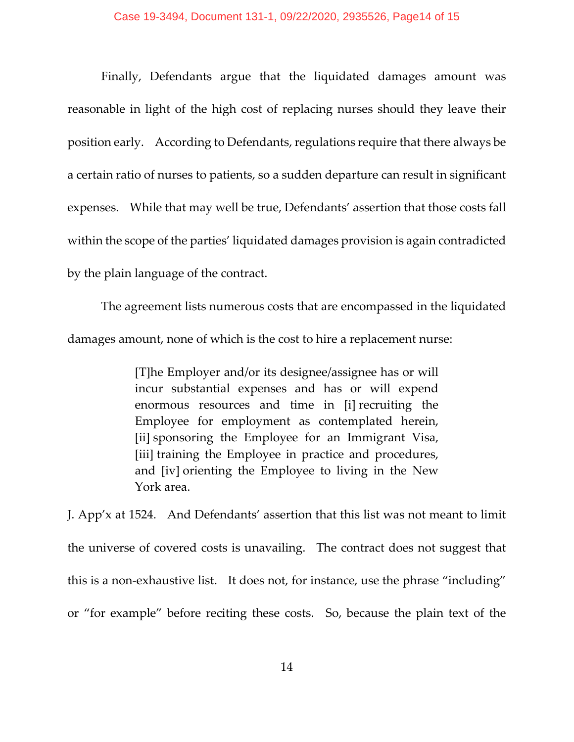Finally, Defendants argue that the liquidated damages amount was reasonable in light of the high cost of replacing nurses should they leave their position early. According to Defendants, regulations require that there always be a certain ratio of nurses to patients, so a sudden departure can result in significant expenses. While that may well be true, Defendants' assertion that those costs fall within the scope of the parties' liquidated damages provision is again contradicted by the plain language of the contract.

The agreement lists numerous costs that are encompassed in the liquidated damages amount, none of which is the cost to hire a replacement nurse:

> [T]he Employer and/or its designee/assignee has or will incur substantial expenses and has or will expend enormous resources and time in [i] recruiting the Employee for employment as contemplated herein, [ii] sponsoring the Employee for an Immigrant Visa, [iii] training the Employee in practice and procedures, and [iv] orienting the Employee to living in the New York area.

J. App'x at 1524. And Defendants' assertion that this list was not meant to limit the universe of covered costs is unavailing. The contract does not suggest that this is a non-exhaustive list. It does not, for instance, use the phrase "including" or "for example" before reciting these costs. So, because the plain text of the